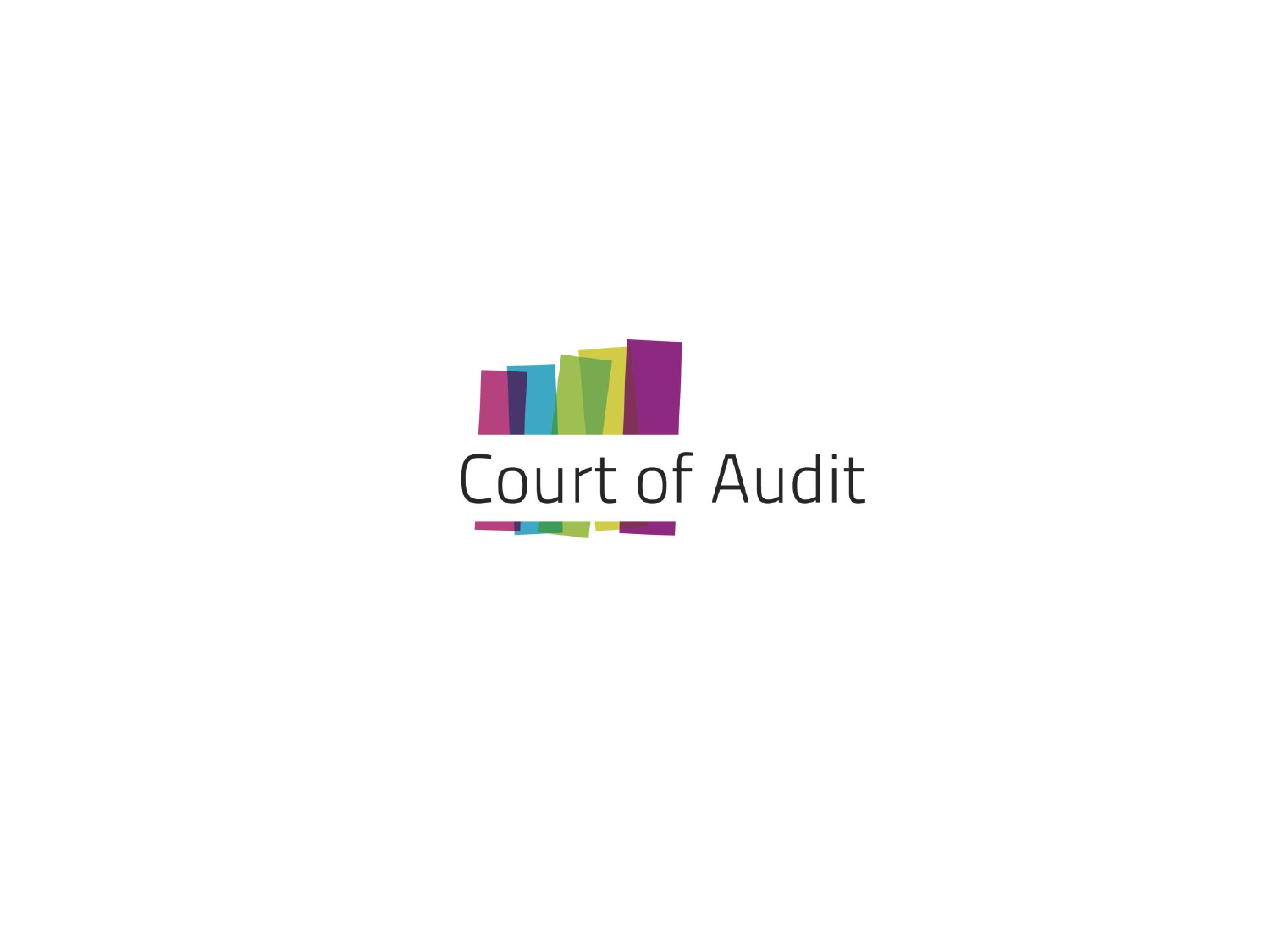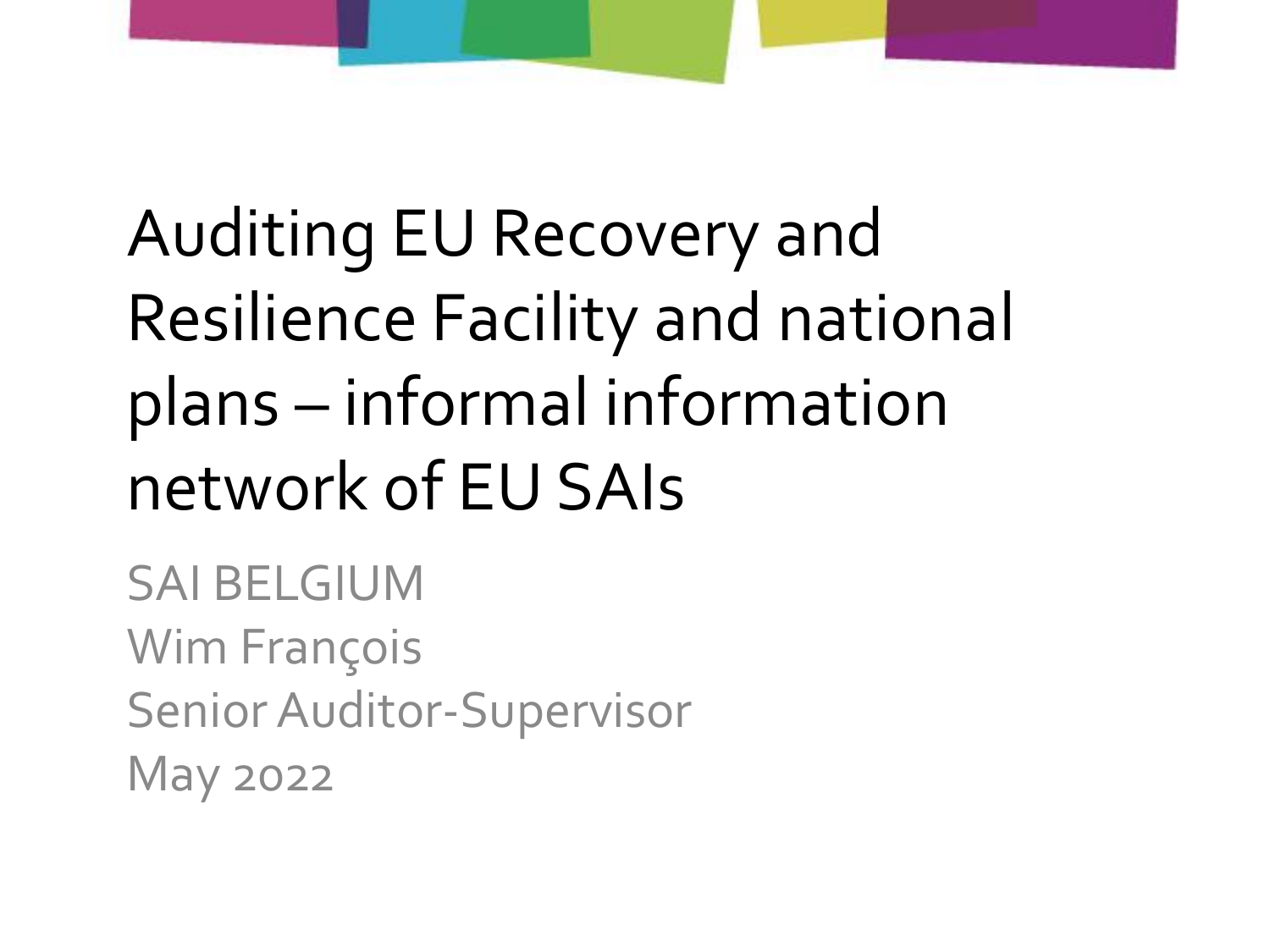### Auditing EU Recovery and **Resilience Facility and national** plans - informal information network of EU SAIs

**SAI BELGIUM Wim François** Senior Auditor-Supervisor **May 2022**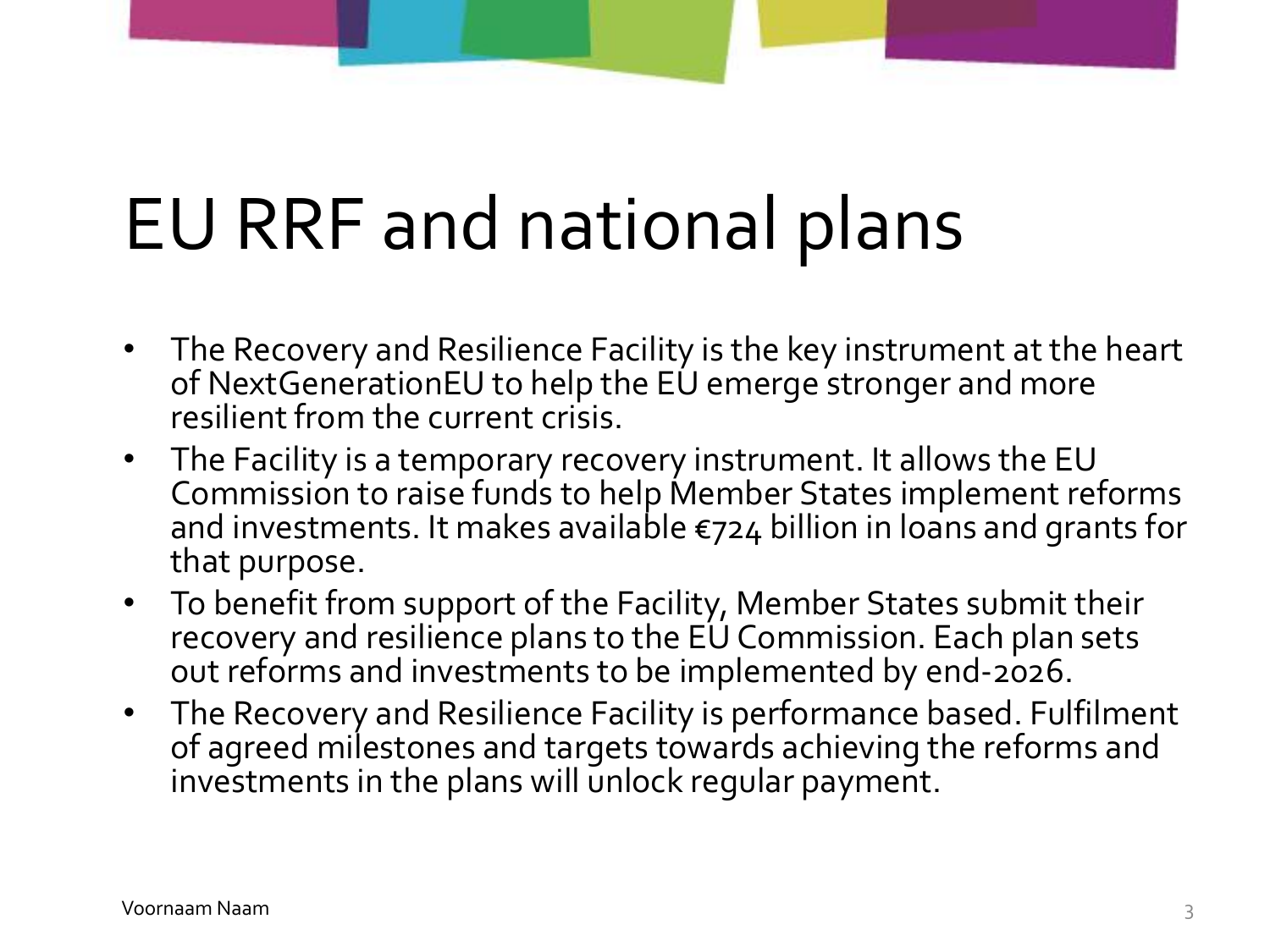# EU RRF and national plans

- The Recovery and Resilience Facility is the key instrument at the heart of NextGenerationEU to help the EU emerge stronger and more resilient from the current crisis.
- The Facility is a temporary recovery instrument. It allows the EU Commission to raise funds to help Member States implement reforms and investments. It makes available €724 billion in loans and grants for that purpose.
- To benefit from support of the Facility, Member States submit their recovery and resilience plans to the EU Commission. Each plan sets out reforms and investments to be implemented by end-2026.
- The Recovery and Resilience Facility is performance based. Fulfilment of agreed milestones and targets towards achieving the reforms and investments in the plans will unlock regular payment.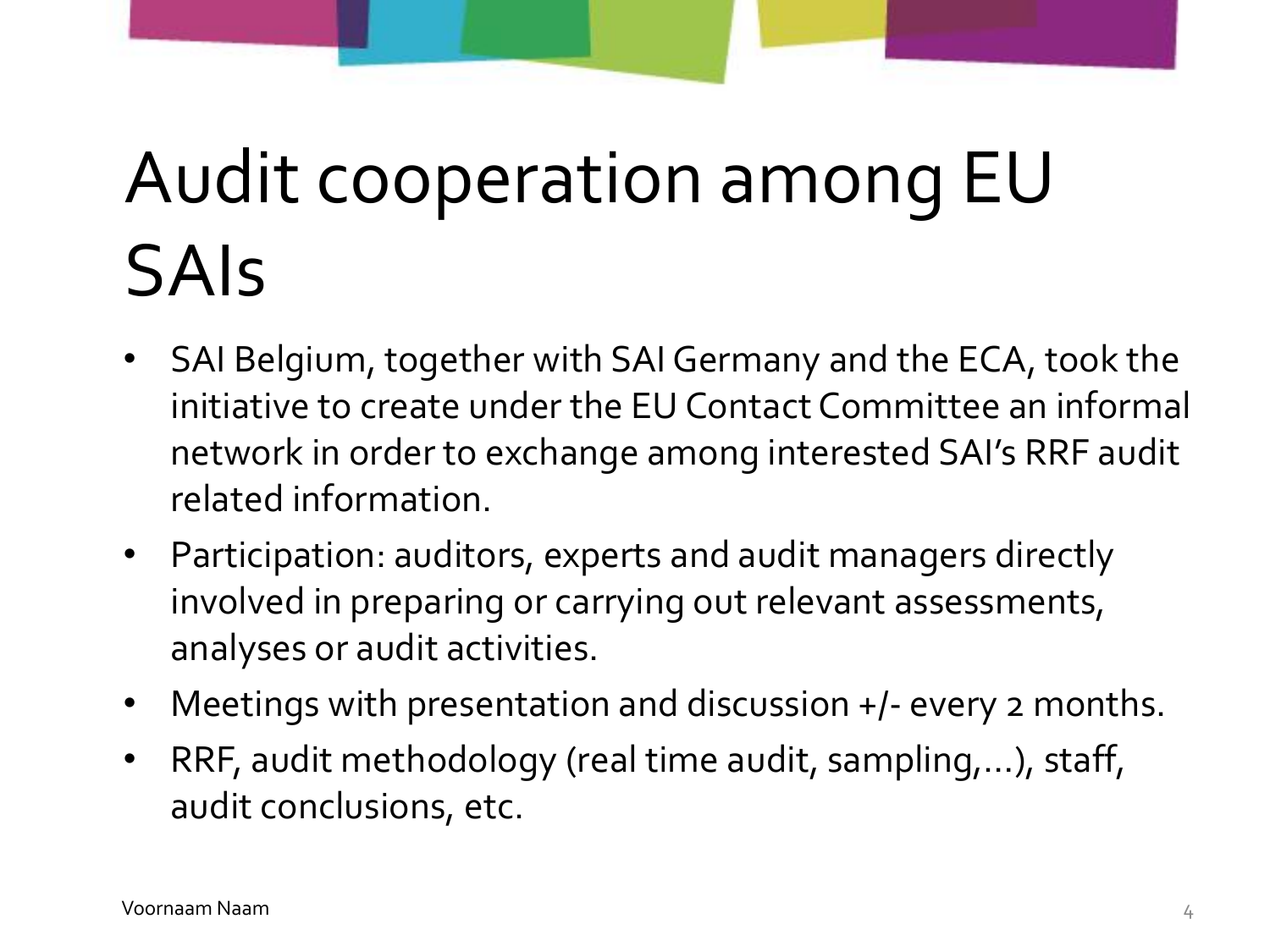# Audit cooperation among EU SAIs

- SAI Belgium, together with SAI Germany and the ECA, took the initiative to create under the EU Contact Committee an informal network in order to exchange among interested SAI's RRF audit related information.
- Participation: auditors, experts and audit managers directly involved in preparing or carrying out relevant assessments, analyses or audit activities.
- Meetings with presentation and discussion +/- every 2 months.
- RRF, audit methodology (real time audit, sampling,…), staff, audit conclusions, etc.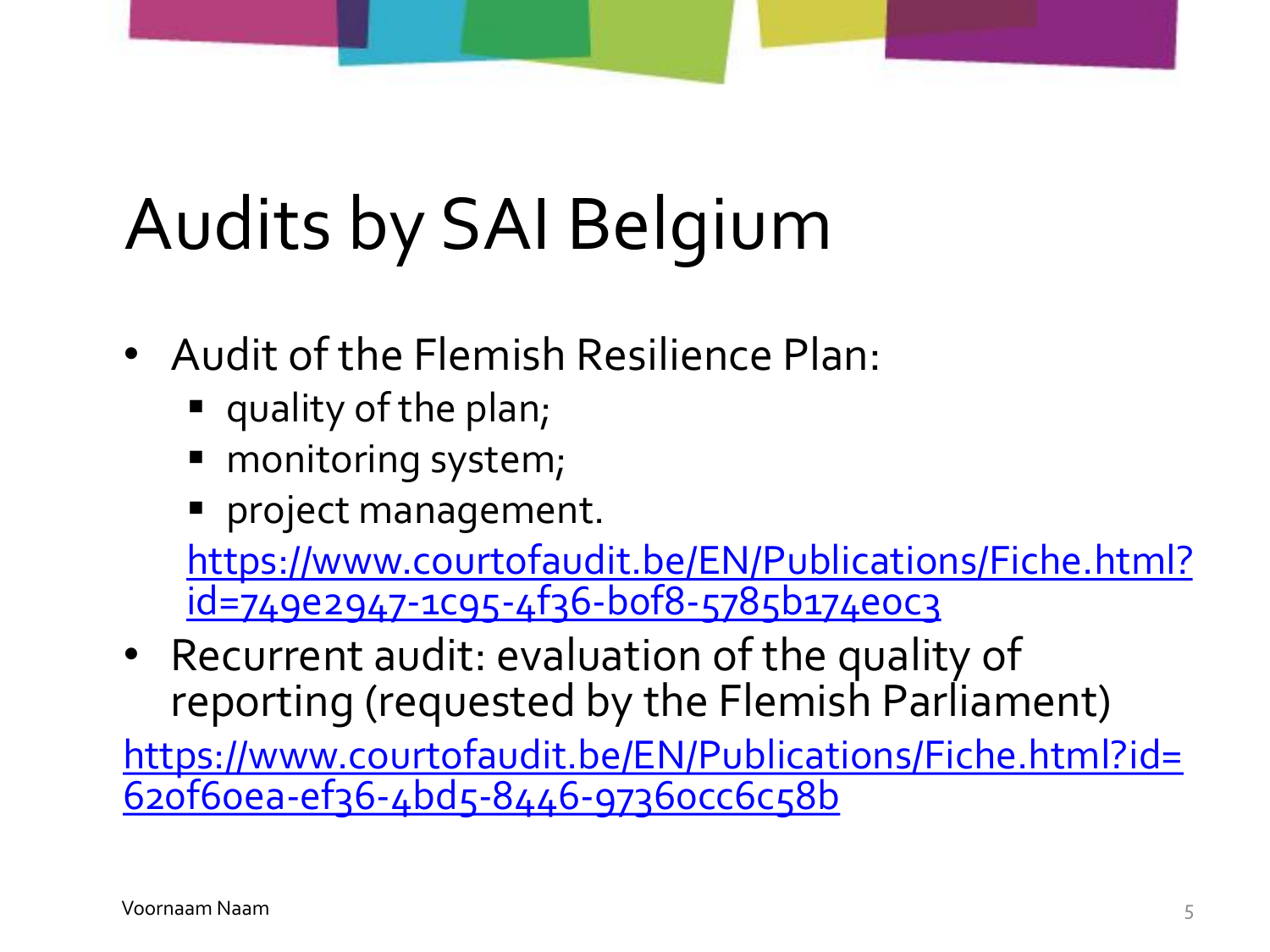# Audits by SAI Belgium

- Audit of the Flemish Resilience Plan:
	- quality of the plan;
	- monitoring system;
	- **P** project management.

[https://www.courtofaudit.be/EN/Publications/Fiche.html?](https://www.courtofaudit.be/EN/Publications/Fiche.html?id=749e2947-1c95-4f36-b0f8-5785b174e0c3) id=749e2947-1c95-4f36-b0f8-5785b174e0c3

• Recurrent audit: evaluation of the quality of reporting (requested by the Flemish Parliament)

[https://www.courtofaudit.be/EN/Publications/Fiche.html?id=](https://www.courtofaudit.be/EN/Publications/Fiche.html?id=620f60ea-ef36-4bd5-8446-97360cc6c58b) 620f60ea-ef36-4bd5-8446-97360cc6c58b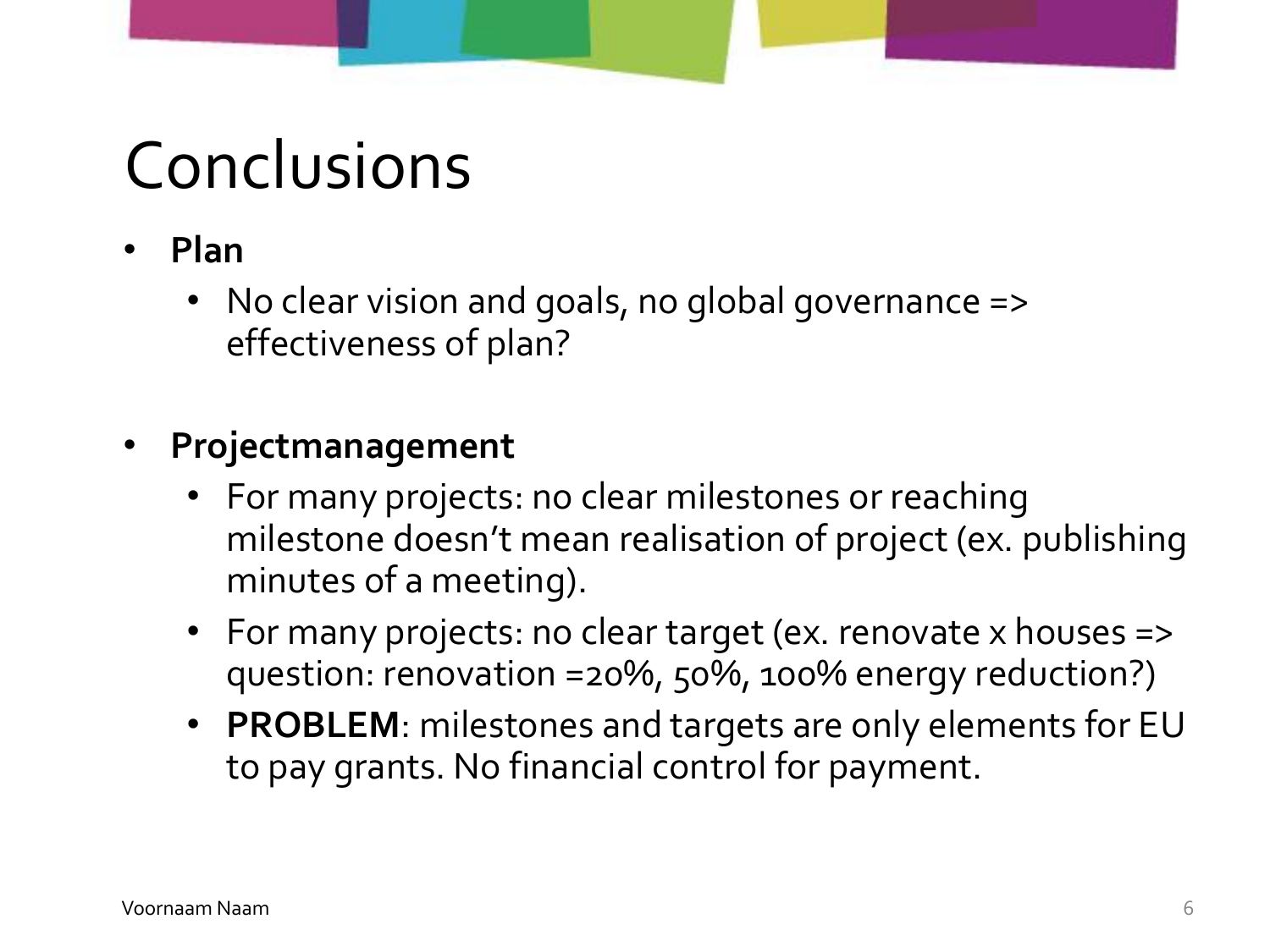### Conclusions

- **Plan**
	- No clear vision and goals, no global governance => effectiveness of plan?
- **Projectmanagement**
	- For many projects: no clear milestones or reaching milestone doesn't mean realisation of project (ex. publishing minutes of a meeting).
	- For many projects: no clear target (ex. renovate x houses => question: renovation =20%, 50%, 100% energy reduction?)
	- **PROBLEM**: milestones and targets are only elements for EU to pay grants. No financial control for payment.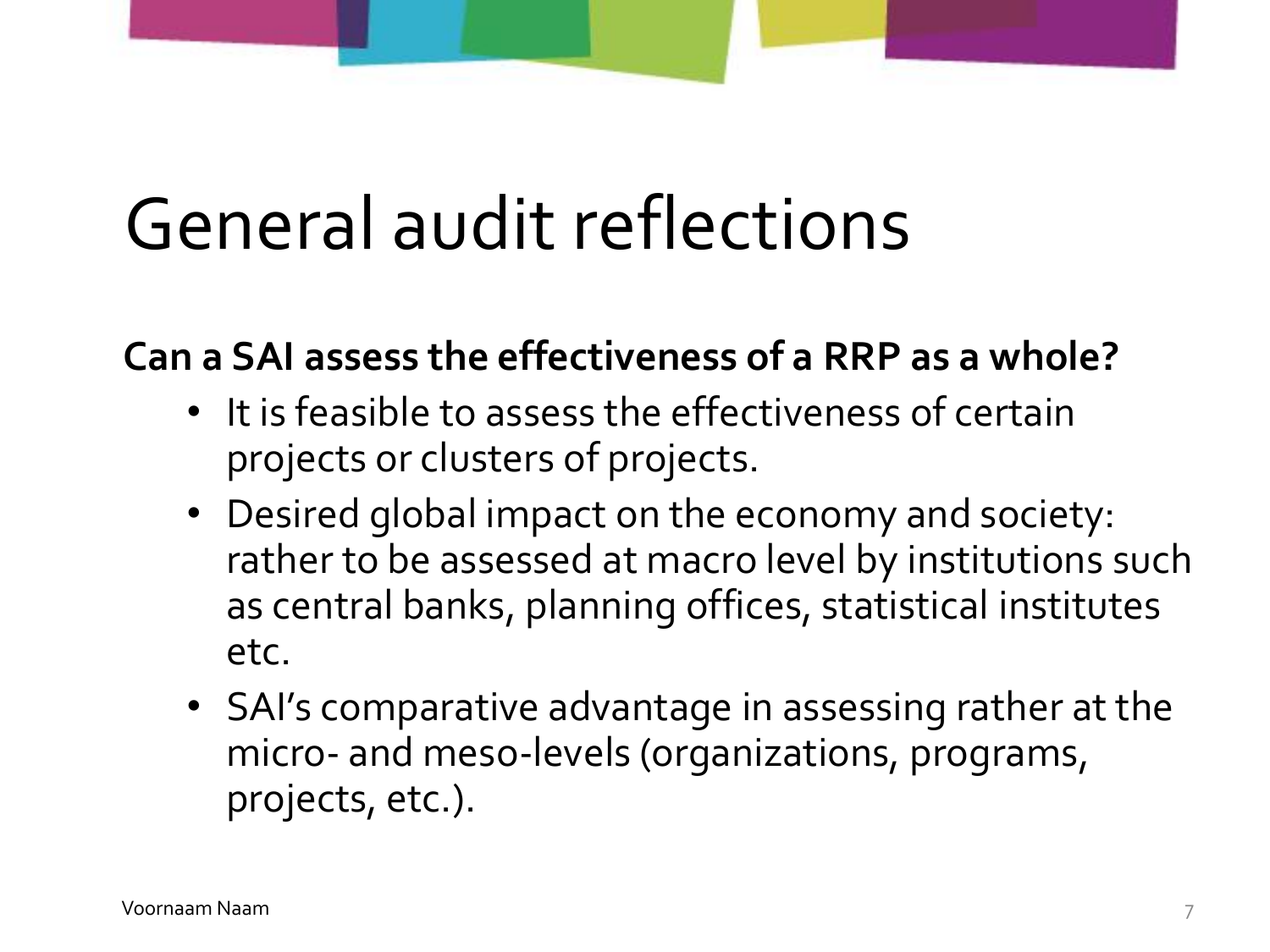# General audit reflections

### **Can a SAI assess the effectiveness of a RRP as a whole?**

- It is feasible to assess the effectiveness of certain projects or clusters of projects.
- Desired global impact on the economy and society: rather to be assessed at macro level by institutions such as central banks, planning offices, statistical institutes etc.
- SAI's comparative advantage in assessing rather at the micro- and meso-levels (organizations, programs, projects, etc.).